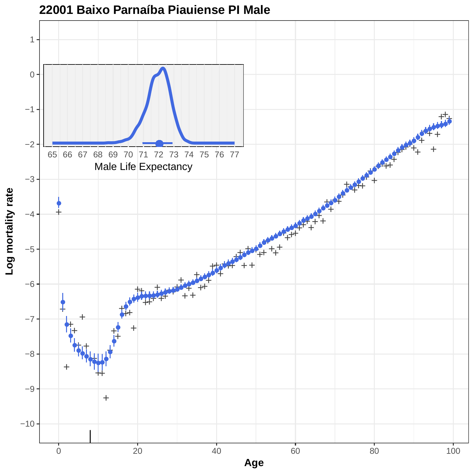

## **22001 Baixo Parnaíba Piauiense PI Male**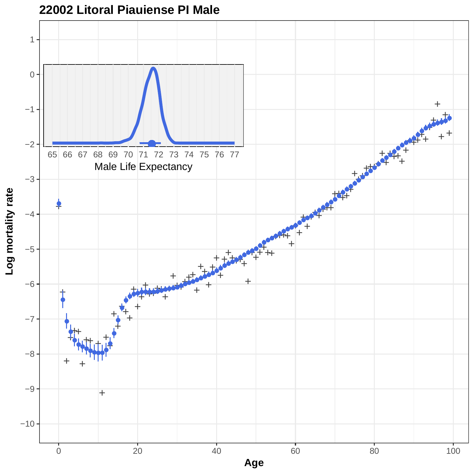

**22002 Litoral Piauiense PI Male**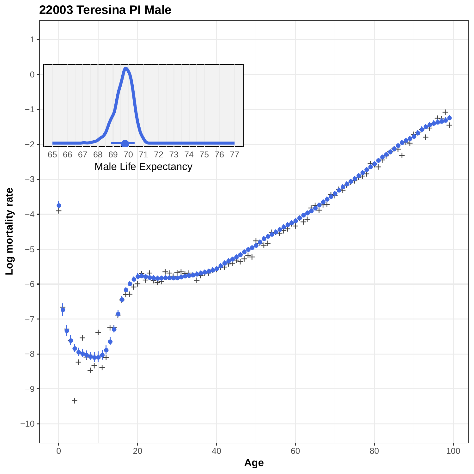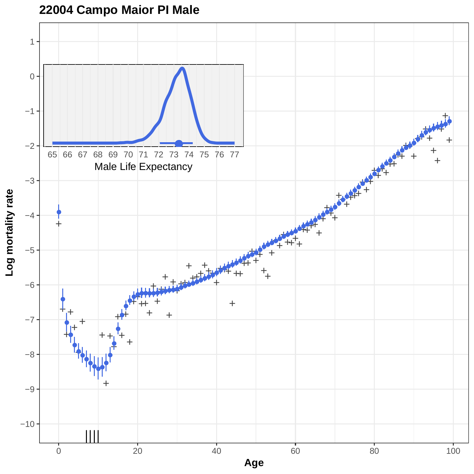**22004 Campo Maior PI Male**

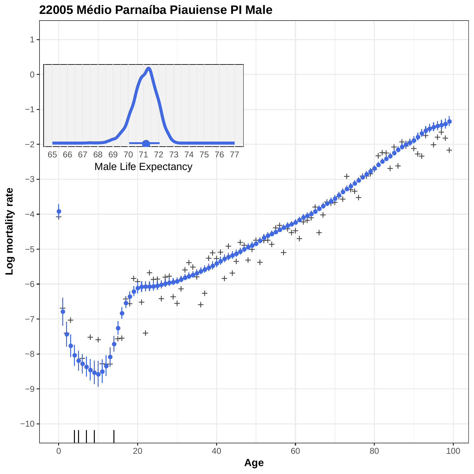

## **22005 Médio Parnaíba Piauiense PI Male**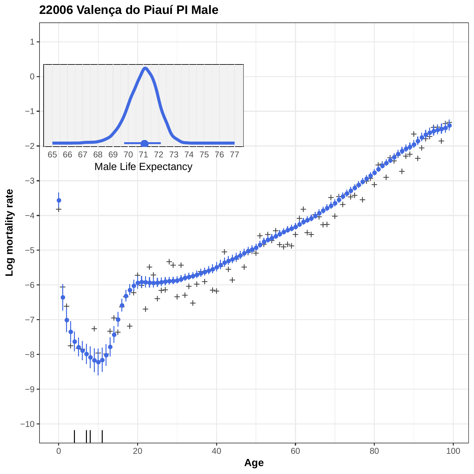**22006 Valença do Piauí PI Male**

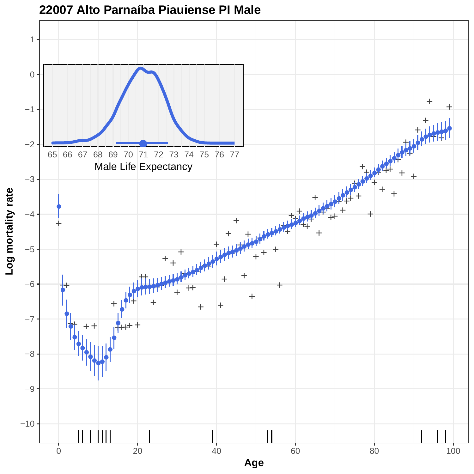

**22007 Alto Parnaíba Piauiense PI Male**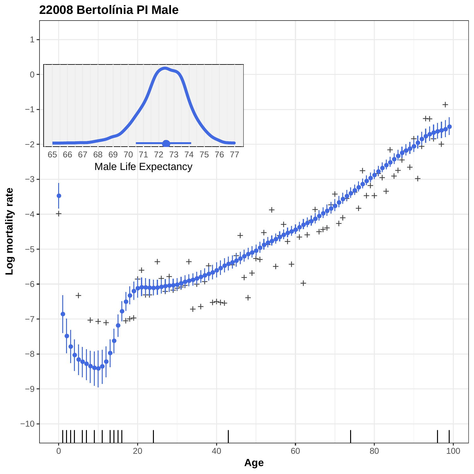

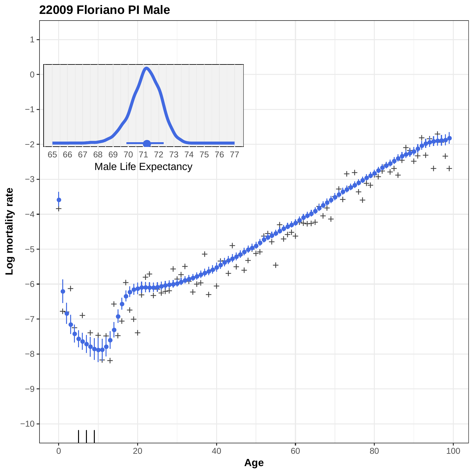

**Age**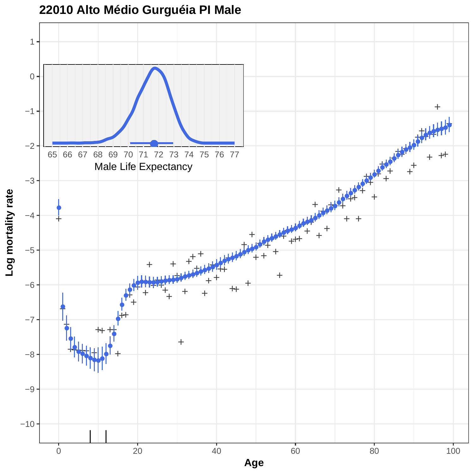

**22010 Alto Médio Gurguéia PI Male**

0 20 20 40 60 80 80 100 **Age**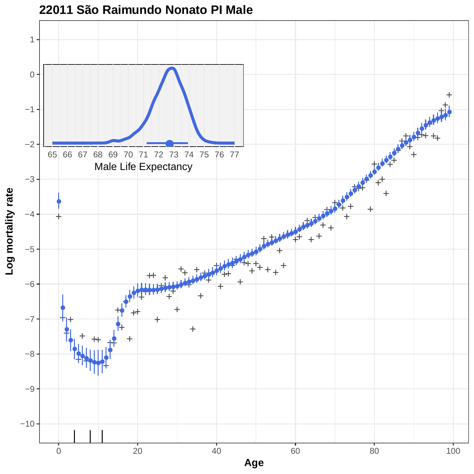

## **22011 São Raimundo Nonato PI Male**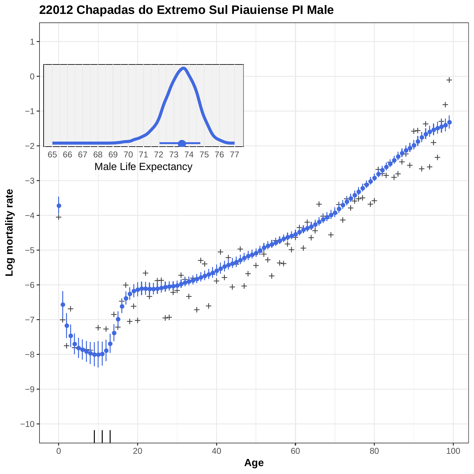

**22012 Chapadas do Extremo Sul Piauiense PI Male**

**Age**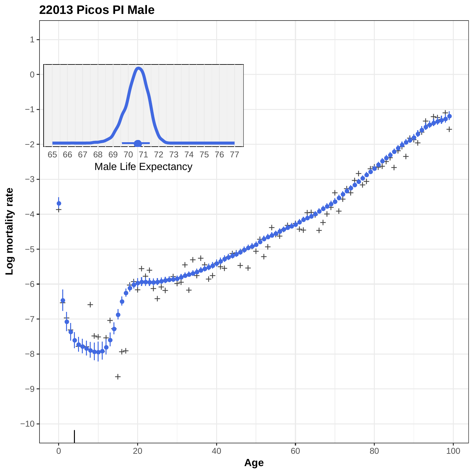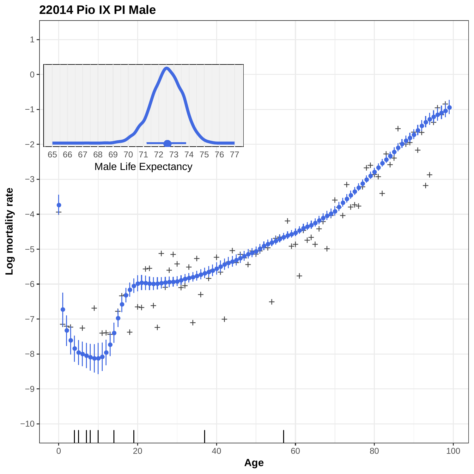